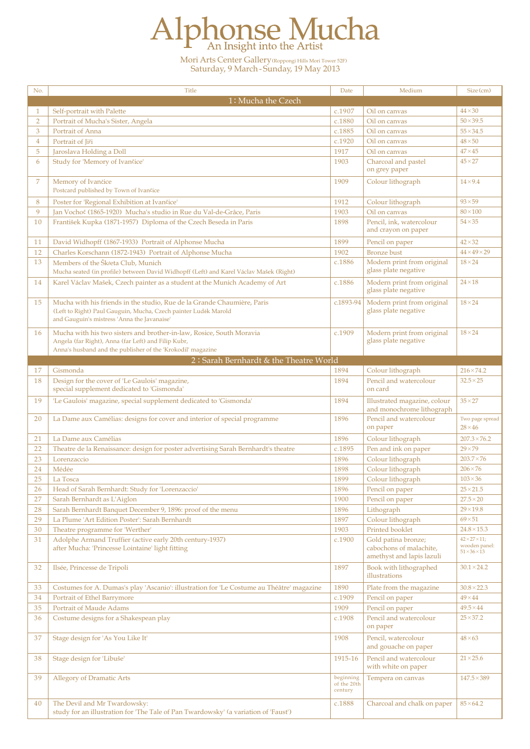## Alphonse Mucha

Mori Arts Center Gallery(Roppongi Hills Mori Tower 52F) Saturday, 9 March- Sunday, 19 May 2013

| No.            | <b>Title</b>                                                                                 | Date                   | Medium                                               | Size (cm)                                 |
|----------------|----------------------------------------------------------------------------------------------|------------------------|------------------------------------------------------|-------------------------------------------|
|                | 1: Mucha the Czech                                                                           |                        |                                                      |                                           |
| 1              | Self-portrait with Palette                                                                   | c.1907                 | Oil on canvas                                        | $44 \times 30$                            |
| $\overline{2}$ | Portrait of Mucha's Sister, Angela                                                           | c.1880                 | Oil on canvas                                        | $50 \times 39.5$                          |
| 3              | Portrait of Anna                                                                             | c.1885                 | Oil on canvas                                        | $55 \times 34.5$                          |
| $\overline{4}$ | Portrait of Jiři                                                                             | c.1920                 | Oil on canvas                                        | $48\times50$                              |
| 5              | Jaroslava Holding a Doll                                                                     | 1917                   | Oil on canvas                                        | $47 \times 45$                            |
| 6              | Study for 'Memory of Ivančice'                                                               | 1903                   | Charcoal and pastel                                  | $45 \times 27$                            |
|                |                                                                                              |                        | on grey paper                                        |                                           |
| 7              | Memory of Ivančice                                                                           | 1909                   | Colour lithograph                                    | $14\times9.4$                             |
|                | Postcard published by Town of Ivančice                                                       |                        |                                                      |                                           |
| 8              | Poster for 'Regional Exhibition at Ivančice'                                                 | 1912                   | Colour lithograph                                    | $93 \times 59$                            |
| 9              | Jan Vochoč (1865-1920) Mucha's studio in Rue du Val-de-Grâce, Paris                          | 1903                   | Oil on canvas                                        | $80\times100$                             |
| 10             | František Kupka (1871-1957) Diploma of the Czech Beseda in Paris                             | 1898                   | Pencil, ink, watercolour                             | $54 \times 35$                            |
|                |                                                                                              |                        | and crayon on paper                                  |                                           |
| 11             | David Widhopff (1867-1933) Portrait of Alphonse Mucha                                        | 1899                   | Pencil on paper                                      | $42 \times 32$                            |
| 12             | Charles Korschann (1872-1943) Portrait of Alphonse Mucha                                     | 1902                   | <b>Bronze</b> bust                                   | $44 \times 49 \times 29$                  |
| 13             | Members of the Škŕeta Club, Munich                                                           | c.1886                 | Modern print from original                           | $18 \times 24$                            |
|                | Mucha seated (in profile) between David Widhopff (Left) and Karel Václav Mašek (Right)       |                        | glass plate negative                                 |                                           |
| 14             | Karel Václav Mašek, Czech painter as a student at the Munich Academy of Art                  | c.1886                 | Modern print from original                           | $24\times18$                              |
|                |                                                                                              |                        | glass plate negative                                 |                                           |
| 15             | Mucha with his friends in the studio, Rue de la Grande Chaumière, Paris                      | $c.1893 - 94$          | Modern print from original                           | $18\times24$                              |
|                | (Left to Right) Paul Gauguin, Mucha, Czech painter Luděk Marold                              |                        | glass plate negative                                 |                                           |
|                | and Gauguin's mistress 'Anna the Javanaise'                                                  |                        |                                                      |                                           |
| 16             | Mucha with his two sisters and brother-in-law, Rosice, South Moravia                         | c.1909                 | Modern print from original                           | $18\times24$                              |
|                | Angela (far Right), Anna (far Left) and Filip Kubr,                                          |                        | glass plate negative                                 |                                           |
|                | Anna's husband and the publisher of the 'Krokodil' magazine                                  |                        |                                                      |                                           |
|                | 2: Sarah Bernhardt & the Theatre World                                                       |                        |                                                      |                                           |
| 17             | Gismonda                                                                                     | 1894                   | Colour lithograph                                    | $216 \times 74.2$                         |
| 18             | Design for the cover of 'Le Gaulois' magazine,<br>special supplement dedicated to 'Gismonda' | 1894                   | Pencil and watercolour<br>on card                    | $32.5 \times 25$                          |
| 19             | 'Le Gaulois' magazine, special supplement dedicated to 'Gismonda'                            | 1894                   | Illustrated magazine, colour                         | $35 \times 27$                            |
|                |                                                                                              |                        | and monochrome lithograph                            |                                           |
| 20             | La Dame aux Camélias: designs for cover and interior of special programme                    | 1896                   | Pencil and watercolour<br>on paper                   | Two page spread<br>$28\times 46$          |
| 21             | La Dame aux Camélias                                                                         | 1896                   | Colour lithograph                                    | $207.3 \times 76.2$                       |
| 22             | Theatre de la Renaissance: design for poster advertising Sarah Bernhardt's theatre           | c.1895                 | Pen and ink on paper                                 | $29\times 79$                             |
| 23             | Lorenzaccio                                                                                  | 1896                   | Colour lithograph                                    | $203.7 \times 76$                         |
| 24             | Médée                                                                                        | 1898                   | Colour lithograph                                    | $206 \times 76$                           |
| 25             | La Tosca                                                                                     | 1899                   | Colour lithograph                                    | $103 \times 36$                           |
| 26             | Head of Sarah Bernhardt: Study for 'Lorenzaccio'                                             | 1896                   | Pencil on paper                                      | $25 \times 21.5$                          |
| 27             | Sarah Bernhardt as L'Aiglon                                                                  | 1900                   | Pencil on paper                                      | $27.5 \times 20$                          |
| 28             | Sarah Bernhardt Banquet December 9, 1896: proof of the menu                                  | 1896                   | Lithograph                                           | $29 \times 19.8$                          |
| 29             | La Plume 'Art Edition Poster': Sarah Bernhardt                                               | 1897                   | Colour lithograph                                    | $69\times51$                              |
| 30             | Theatre programme for 'Werther'                                                              | 1903                   | Printed booklet                                      | $24.8 \times 15.3$                        |
| 31             | Adolphe Armand Truffier (active early 20th century-1937)                                     | c.1900                 | Gold patina bronze;                                  | $42 \times 27 \times 11$ ;                |
|                | after Mucha: 'Princesse Lointaine' light fitting                                             |                        | cabochons of malachite,<br>amethyst and lapis lazuli | wooden panel:<br>$51 \times 36 \times 13$ |
| 32             | Ilsée, Princesse de Tripoli                                                                  | 1897                   | Book with lithographed                               | $30.1 \times 24.2$                        |
|                |                                                                                              |                        | illustrations                                        |                                           |
| 33             | Costumes for A. Dumas's play 'Ascanio': illustration for 'Le Costume au Théâtre' magazine    | 1890                   | Plate from the magazine                              | $30.8 \times 22.3$                        |
| 34             | Portrait of Ethel Barrymore                                                                  | c.1909                 | Pencil on paper                                      | $49 \times 44$                            |
| 35             | Portrait of Maude Adams                                                                      | 1909                   | Pencil on paper                                      | $49.5 \times 44$                          |
| 36             | Costume designs for a Shakespean play                                                        | c.1908                 | Pencil and watercolour                               | $25 \times 37.2$                          |
|                |                                                                                              |                        | on paper                                             |                                           |
| 37             | Stage design for 'As You Like It'                                                            | 1908                   | Pencil, watercolour<br>and gouache on paper          | $48\times 63$                             |
| 38             | Stage design for 'Libuše'                                                                    | 1915-16                | Pencil and watercolour<br>with white on paper        | $21 \times 25.6$                          |
| 39             | <b>Allegory of Dramatic Arts</b>                                                             | beginning              | Tempera on canvas                                    | $147.5 \times 389$                        |
|                |                                                                                              | of the 20th<br>century |                                                      |                                           |
| 40             | The Devil and Mr Twardowsky:                                                                 | c.1888                 | Charcoal and chalk on paper                          | $85\times64.2$                            |
|                | study for an illustration for 'The Tale of Pan Twardowsky' (a variation of 'Faust')          |                        |                                                      |                                           |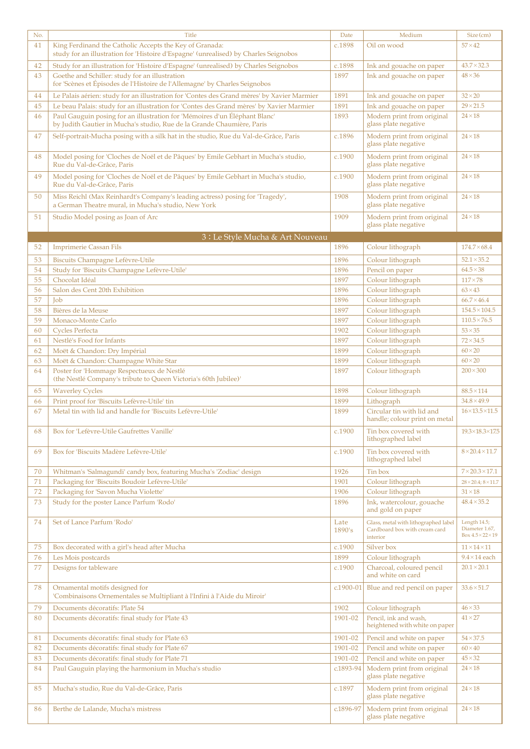| No.      | <b>Title</b>                                                                                                                                         | Date           | Medium                                                              | Size (cm)                                       |
|----------|------------------------------------------------------------------------------------------------------------------------------------------------------|----------------|---------------------------------------------------------------------|-------------------------------------------------|
| 41       | King Ferdinand the Catholic Accepts the Key of Granada:<br>study for an illustration for 'Histoire d'Espagne' (unrealised) by Charles Seignobos      | c.1898         | Oil on wood                                                         | $57 \times 42$                                  |
| 42       | Study for an illustration for 'Histoire d'Espagne' (unrealised) by Charles Seignobos                                                                 | c.1898         | Ink and gouache on paper                                            | $43.7 \times 32.3$                              |
| 43       | Goethe and Schiller: study for an illustration                                                                                                       | 1897           | Ink and gouache on paper                                            | $48 \times 36$                                  |
|          | for 'Scènes et Épisodes de l'Histoire de l'Allemagne' by Charles Seignobos                                                                           |                |                                                                     |                                                 |
| 44       | Le Palais aérien: study for an illustration for 'Contes des Grand mères' by Xavier Marmier                                                           | 1891           | Ink and gouache on paper                                            | $32 \times 20$                                  |
| 45       | Le beau Palais: study for an illustration for 'Contes des Grand mères' by Xavier Marmier                                                             | 1891           | Ink and gouache on paper                                            | $29 \times 21.5$                                |
| 46       | Paul Gauguin posing for an illustration for 'Mémoires d'un Éléphant Blanc'<br>by Judith Gautier in Mucha's studio, Rue de la Grande Chaumière, Paris | 1893           | Modern print from original<br>glass plate negative                  | $24 \times 18$                                  |
| 47       | Self-portrait-Mucha posing with a silk hat in the studio, Rue du Val-de-Grâce, Paris                                                                 | c.1896         | Modern print from original<br>glass plate negative                  | $24 \times 18$                                  |
| 48       | Model posing for 'Cloches de Noël et de Pâques' by Emile Gebhart in Mucha's studio,<br>Rue du Val-de-Grâce, Paris                                    | c.1900         | Modern print from original<br>glass plate negative                  | $24 \times 18$                                  |
| 49       | Model posing for 'Cloches de Noël et de Pâques' by Emile Gebhart in Mucha's studio,<br>Rue du Val-de-Grâce, Paris                                    | c.1900         | Modern print from original<br>glass plate negative                  | $24 \times 18$                                  |
| 50       | Miss Reichl (Max Reinhardt's Company's leading actress) posing for 'Tragedy',<br>a German Theatre mural, in Mucha's studio, New York                 | 1908           | Modern print from original<br>glass plate negative                  | $24 \times 18$                                  |
| 51       | Studio Model posing as Joan of Arc                                                                                                                   | 1909           | Modern print from original<br>glass plate negative                  | $24 \times 18$                                  |
|          | 3 : Le Style Mucha & Art Nouveau                                                                                                                     |                |                                                                     |                                                 |
| 52       | <b>Imprimerie Cassan Fils</b>                                                                                                                        | 1896           | Colour lithograph                                                   | $174.7 \times 68.4$                             |
| 53       | Biscuits Champagne Lefèvre-Utile                                                                                                                     | 1896           | Colour lithograph                                                   | $52.1 \times 35.2$                              |
| 54       | Study for 'Biscuits Champagne Lefèvre-Utile'                                                                                                         | 1896           | Pencil on paper                                                     | $64.5 \times 38$                                |
| 55       | Chocolat Idéal                                                                                                                                       | 1897           | Colour lithograph                                                   | $117\times78$                                   |
| 56       | Salon des Cent 20th Exhibition                                                                                                                       | 1896           | Colour lithograph                                                   | $63 \times 43$                                  |
| 57       | <b>Job</b>                                                                                                                                           | 1896           | Colour lithograph                                                   | $66.7 \times 46.4$                              |
| 58       | Bières de la Meuse                                                                                                                                   | 1897           | Colour lithograph                                                   | $154.5 \times 104.5$                            |
| 59       | Monaco-Monte Carlo                                                                                                                                   | 1897           | Colour lithograph                                                   | $110.5 \times 76.5$                             |
| 60       | <b>Cycles Perfecta</b>                                                                                                                               | 1902           | Colour lithograph                                                   | $53 \times 35$                                  |
| 61       | Nestlé's Food for Infants                                                                                                                            | 1897           | Colour lithograph                                                   | $72\times34.5$                                  |
| 62       | Moët & Chandon: Dry Impérial                                                                                                                         | 1899           | Colour lithograph                                                   | $60 \times 20$                                  |
| 63       | Moët & Chandon: Champagne White Star                                                                                                                 | 1899           | Colour lithograph                                                   | $60 \times 20$                                  |
| 64       | Poster for 'Hommage Respectueux de Nestlé                                                                                                            | 1897           | Colour lithograph                                                   | $200 \times 300$                                |
|          | (the Nestlé Company's tribute to Queen Victoria's 60th Jubilee)'                                                                                     |                |                                                                     |                                                 |
| 65       | <b>Waverley Cycles</b>                                                                                                                               | 1898           | Colour lithograph                                                   | $88.5 \times 114$                               |
| 66       | Print proof for 'Biscuits Lefèvre-Utile' tin                                                                                                         | 1899           | Lithograph                                                          | $34.8 \times 49.9$                              |
| 67       | Metal tin with lid and handle for 'Biscuits Lefèvre-Utile'                                                                                           | 1899           | Circular tin with lid and<br>handle; colour print on metal          | $16 \times 13.5 \times 11.5$                    |
| 68       | Box for 'Lefèvre-Utile Gaufrettes Vanille'                                                                                                           | c.1900         | Tin box covered with<br>lithographed label                          | 19.3×18.3×17.5                                  |
| 69       | Box for 'Biscuits Madère Lefèvre-Utile'                                                                                                              | c.1900         | Tin box covered with<br>lithographed label                          | $8\times20.4\times11.7$                         |
| 70       | Whitman's 'Salmagundi' candy box, featuring Mucha's 'Zodiac' design                                                                                  | 1926           | Tin box                                                             | $7\times20.3\times17.1$                         |
| 71       | Packaging for 'Biscuits Boudoir Lefèvre-Utile'                                                                                                       | 1901           | Colour lithograph                                                   | $28 \times 20.4$ ; $8 \times 11.7$              |
| 72       | Packaging for 'Savon Mucha Violette'                                                                                                                 | 1906           | Colour lithograph                                                   | $31 \times 18$                                  |
| 73       | Study for the poster Lance Parfum 'Rodo'                                                                                                             | 1896           | Ink, watercolour, gouache                                           | $48.4 \times 35.2$                              |
| 74       | Set of Lance Parfum 'Rodo'                                                                                                                           | Late           | and gold on paper<br>Glass, metal with lithographed label           | Length 14.5;                                    |
|          |                                                                                                                                                      | 1890's         | Cardboard box with cream card<br>interior                           | Diameter 1.67,<br>Box $4.5 \times 22 \times 19$ |
| 75       | Box decorated with a girl's head after Mucha                                                                                                         | c.1900         | Silver box                                                          | $11 \times 14 \times 11$                        |
| 76<br>77 | Les Mois postcards<br>Designs for tableware                                                                                                          | 1899<br>c.1900 | Colour lithograph<br>Charcoal, coloured pencil<br>and white on card | $9.4 \times 14$ each<br>$20.1 \times 20.1$      |
| 78       | Ornamental motifs designed for<br>'Combinaisons Ornementales se Multipliant à l'Infini à l'Aide du Miroir'                                           |                | c.1900-01 Blue and red pencil on paper                              | $33.6 \times 51.7$                              |
| 79       | Documents décoratifs: Plate 54                                                                                                                       | 1902           | Colour lithograph                                                   | $46 \times 33$                                  |
| 80       | Documents décoratifs: final study for Plate 43                                                                                                       | 1901-02        | Pencil, ink and wash,                                               | $41 \times 27$                                  |
| 81       | Documents décoratifs: final study for Plate 63                                                                                                       | 1901-02        | heightened with white on paper<br>Pencil and white on paper         | $54 \times 37.5$                                |
| 82       | Documents décoratifs: final study for Plate 67                                                                                                       | 1901-02        | Pencil and white on paper                                           | $60\times40$                                    |
| 83       | Documents décoratifs: final study for Plate 71                                                                                                       | 1901-02        | Pencil and white on paper                                           | $45 \times 32$                                  |
| 84       | Paul Gauguin playing the harmonium in Mucha's studio                                                                                                 | $c.1893 - 94$  | Modern print from original                                          | $24 \times 18$                                  |
|          |                                                                                                                                                      |                | glass plate negative                                                |                                                 |
| 85       | Mucha's studio, Rue du Val-de-Grâce, Paris                                                                                                           | c.1897         | Modern print from original<br>glass plate negative                  | $24 \times 18$                                  |
| 86       | Berthe de Lalande, Mucha's mistress                                                                                                                  | $c.1896 - 97$  | Modern print from original<br>glass plate negative                  | $24 \times 18$                                  |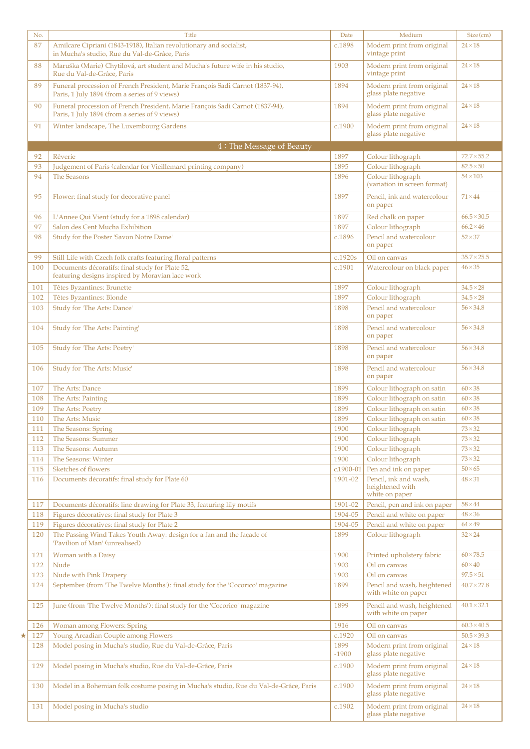| No.        | <b>Title</b>                                                                                                                   | Date                     | Medium                                                                             | Size (cm)                       |
|------------|--------------------------------------------------------------------------------------------------------------------------------|--------------------------|------------------------------------------------------------------------------------|---------------------------------|
| 87         | Amilcare Cipriani (1843-1918), Italian revolutionary and socialist,<br>in Mucha's studio, Rue du Val-de-Grâce, Paris           | c.1898                   | Modern print from original<br>vintage print                                        | $24 \times 18$                  |
| 88         | Maruška (Marie) Chytilová, art student and Mucha's future wife in his studio,<br>Rue du Val-de-Grâce, Paris                    | 1903                     | Modern print from original<br>vintage print                                        | $24 \times 18$                  |
| 89         | Funeral procession of French President, Marie François Sadi Carnot (1837-94),<br>Paris, 1 July 1894 (from a series of 9 views) | 1894                     | Modern print from original<br>glass plate negative                                 | $24 \times 18$                  |
| 90         | Funeral procession of French President, Marie François Sadi Carnot (1837-94),<br>Paris, 1 July 1894 (from a series of 9 views) | 1894                     | Modern print from original<br>glass plate negative                                 | $24 \times 18$                  |
| 91         | Winter landscape, The Luxembourg Gardens                                                                                       | c.1900                   | Modern print from original<br>glass plate negative                                 | $24 \times 18$                  |
|            | 4: The Message of Beauty                                                                                                       |                          |                                                                                    |                                 |
| 92         | Rêverie                                                                                                                        | 1897                     | Colour lithograph                                                                  | $72.7 \times 55.2$              |
| 93         | Judgement of Paris (calendar for Vieillemard printing company)                                                                 | 1895                     | Colour lithograph                                                                  | $82.5 \times 50$                |
| 94         | The Seasons                                                                                                                    | 1896                     | Colour lithograph<br>(variation in screen format)                                  | $54\times103$                   |
| 95         | Flower: final study for decorative panel                                                                                       | 1897                     | Pencil, ink and watercolour<br>on paper                                            | $71 \times 44$                  |
| 96         | L'Annee Qui Vient (study for a 1898 calendar)                                                                                  | 1897                     | Red chalk on paper                                                                 | $66.5 \times 30.5$              |
| 97         | Salon des Cent Mucha Exhibition                                                                                                | 1897                     | Colour lithograph                                                                  | $66.2 \times 46$                |
| 98         | Study for the Poster 'Savon Notre Dame'                                                                                        | c.1896                   | Pencil and watercolour<br>on paper                                                 | $52 \times 37$                  |
| 99         | Still Life with Czech folk crafts featuring floral patterns                                                                    | c.1920s                  | Oil on canvas                                                                      | $35.7 \times 25.5$              |
| 100        | Documents décoratifs: final study for Plate 52,<br>featuring designs inspired by Moravian lace work                            | c.1901                   | Watercolour on black paper                                                         | $46 \times 35$                  |
| 101        | Têtes Byzantines: Brunette                                                                                                     | 1897                     | Colour lithograph                                                                  | $34.5 \times 28$                |
| 102        | Têtes Byzantines: Blonde                                                                                                       | 1897                     | Colour lithograph                                                                  | $34.5 \times 28$                |
| 103        | Study for 'The Arts: Dance'                                                                                                    | 1898                     | Pencil and watercolour<br>on paper                                                 | $56 \times 34.8$                |
| 104        | Study for 'The Arts: Painting'                                                                                                 | 1898                     | Pencil and watercolour<br>on paper                                                 | $56 \times 34.8$                |
| 105        | Study for 'The Arts: Poetry'                                                                                                   | 1898                     | Pencil and watercolour<br>on paper                                                 | $56 \times 34.8$                |
| 106        | Study for 'The Arts: Music'                                                                                                    | 1898                     | Pencil and watercolour<br>on paper                                                 | $56 \times 34.8$                |
| 107        | The Arts: Dance                                                                                                                | 1899                     | Colour lithograph on satin                                                         | $60\times38$                    |
| 108        | The Arts: Painting                                                                                                             | 1899                     | Colour lithograph on satin                                                         | $60\times38$                    |
| 109        | The Arts: Poetry                                                                                                               | 1899                     | Colour lithograph on satin                                                         | $60\times38$                    |
| 110        | The Arts: Music                                                                                                                | 1899                     | Colour lithograph on satin                                                         | $60 \times 38$                  |
| 111        | The Seasons: Spring                                                                                                            | 1900                     | Colour lithograph                                                                  | $73 \times 32$                  |
| 112        | The Seasons: Summer                                                                                                            | 1900                     | Colour lithograph                                                                  | $73 \times 32$                  |
| 113        | The Seasons: Autumn                                                                                                            | 1900                     | Colour lithograph                                                                  | $73 \times 32$                  |
| 114        | <b>The Seasons: Winter</b>                                                                                                     | 1900                     | Colour lithograph                                                                  | $73 \times 32$                  |
| 115<br>116 | Sketches of flowers<br>Documents décoratifs: final study for Plate 60                                                          | $c.1900 - 01$<br>1901-02 | Pen and ink on paper<br>Pencil, ink and wash,<br>heightened with<br>white on paper | $50\times 65$<br>$48 \times 31$ |
| 117        | Documents décoratifs: line drawing for Plate 33, featuring lily motifs                                                         | 1901-02                  | Pencil, pen and ink on paper                                                       | $58 \times 44$                  |
| 118        | Figures décoratives: final study for Plate 3                                                                                   | 1904-05                  | Pencil and white on paper                                                          | $48 \times 36$                  |
| 119        | Figures décoratives: final study for Plate 2                                                                                   | 1904-05                  | Pencil and white on paper                                                          | $64 \times 49$                  |
| 120        | The Passing Wind Takes Youth Away: design for a fan and the façade of<br>'Pavilion of Man' (unrealised)                        | 1899                     | Colour lithograph                                                                  | $32 \times 24$                  |
| 121        | Woman with a Daisy                                                                                                             | 1900                     | Printed upholstery fabric                                                          | $60\times78.5$                  |
| 122        | Nude                                                                                                                           | 1903                     | Oil on canvas                                                                      | $60\times40$                    |
| 123        | Nude with Pink Drapery                                                                                                         | 1903                     | Oil on canvas                                                                      | $97.5 \times 51$                |
| 124        | September (from 'The Twelve Months'): final study for the 'Cocorico' magazine                                                  | 1899                     | Pencil and wash, heightened<br>with white on paper                                 | $40.7 \times 27.8$              |
| 125        | June (from 'The Twelve Months'): final study for the 'Cocorico' magazine                                                       | 1899                     | Pencil and wash, heightened<br>with white on paper                                 | $40.1 \times 32.1$              |
| 126        | Woman among Flowers: Spring                                                                                                    | 1916                     | Oil on canvas                                                                      | $60.3 \times 40.5$              |
| 127        | Young Arcadian Couple among Flowers                                                                                            | c.1920                   | Oil on canvas                                                                      | $50.5 \times 39.3$              |
| 128        | Model posing in Mucha's studio, Rue du Val-de-Grâce, Paris                                                                     | 1899<br>$-1900$          | Modern print from original<br>glass plate negative                                 | $24 \times 18$                  |
| 129        | Model posing in Mucha's studio, Rue du Val-de-Grâce, Paris                                                                     | c.1900                   | Modern print from original<br>glass plate negative                                 | $24 \times 18$                  |
| 130        | Model in a Bohemian folk costume posing in Mucha's studio, Rue du Val-de-Grâce, Paris                                          | c.1900                   | Modern print from original<br>glass plate negative                                 | $24 \times 18$                  |
| 131        | Model posing in Mucha's studio                                                                                                 | c.1902                   | Modern print from original<br>glass plate negative                                 | $24 \times 18$                  |

★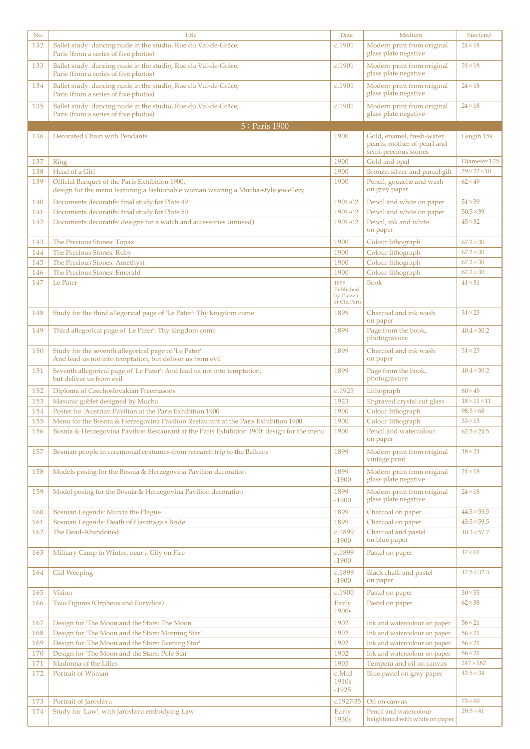| No.        | <b>Title</b>                                                                                                                                                                     | Date                                    | Medium                                                                           | Size (cm)                            |
|------------|----------------------------------------------------------------------------------------------------------------------------------------------------------------------------------|-----------------------------------------|----------------------------------------------------------------------------------|--------------------------------------|
| 132        | Ballet study: dancing nude in the studio, Rue du Val-de-Grâce,<br>Paris (from a series of five photos)                                                                           | c.1901                                  | Modern print from original<br>glass plate negative                               | $24 \times 18$                       |
| 133        | Ballet study: dancing nude in the studio, Rue du Val-de-Grâce,<br>Paris (from a series of five photos)                                                                           | c.1901                                  | Modern print from original<br>glass plate negative                               | $24 \times 18$                       |
| 134        | Ballet study: dancing nude in the studio, Rue du Val-de-Grâce,<br>Paris (from a series of five photos)                                                                           | c.1901                                  | Modern print from original<br>glass plate negative                               | $24 \times 18$                       |
| 135        | Ballet study: dancing nude in the studio, Rue du Val-de-Grâce,<br>Paris (from a series of five photos)                                                                           | c.1901                                  | Modern print from original<br>glass plate negative                               | $24 \times 18$                       |
|            | 5: Paris 1900                                                                                                                                                                    |                                         |                                                                                  |                                      |
| 136        | Decorated Chain with Pendants                                                                                                                                                    | 1900                                    | Gold, enamel, fresh-water<br>pearls, mother of pearl and<br>semi-precious stones | Length 159                           |
| 137        | Ring                                                                                                                                                                             | 1900                                    | Gold and opal                                                                    | Diameter 1.75                        |
| 138        | Head of a Girl                                                                                                                                                                   | 1900                                    | Bronze, silver and parcel gilt                                                   | $29 \times 22 \times 10$             |
| 139        | Official Banquet of the Paris Exhibition 1900:<br>design for the menu featuring a fashionable woman wearing a Mucha-style jewellery                                              | 1900                                    | Pencil, gouache and wash<br>on grey paper                                        | $62\times49$                         |
| 140        | Documents décoratifs: final study for Plate 49                                                                                                                                   | 1901-02                                 | Pencil and white on paper                                                        | $51 \times 39$                       |
| 141<br>142 | Documents décoratifs: final study for Plate 50<br>Documents décoratifs: designs for a watch and accessories (unused)                                                             | 1901-02<br>1901-02                      | Pencil and white on paper<br>Pencil, ink and white<br>on paper                   | $50.5 \times 39$<br>$45 \times 32$   |
| 143        | The Precious Stones: Topaz                                                                                                                                                       | 1900                                    | Colour lithograph                                                                | $67.2 \times 30$                     |
| 144        | The Precious Stones: Ruby                                                                                                                                                        | 1900                                    | Colour lithograph                                                                | $67.2 \times 30$                     |
| 145        | The Precious Stones: Amethyst                                                                                                                                                    | 1900                                    | Colour lithograph                                                                | $67.2 \times 30$                     |
| 146<br>147 | The Precious Stones: Emerald<br>Le Pater                                                                                                                                         | 1900<br>1899                            | Colour lithograph<br><b>Book</b>                                                 | $67.2 \times 30$<br>$41 \times 31$   |
|            |                                                                                                                                                                                  | Published<br>by Piazza<br>et Cie, Paris |                                                                                  |                                      |
| 148        | Study for the third allegorical page of 'Le Pater': Thy kingdom come                                                                                                             | 1899                                    | Charcoal and ink wash<br>on paper                                                | $31 \times 25$                       |
| 149        | Third allegorical page of 'Le Pater': Thy kingdom come                                                                                                                           | 1899                                    | Page from the book,<br>photogravure                                              | $40.4 \times 30.2$                   |
| 150        | Study for the seventh allegorical page of 'Le Pater':<br>And lead us not into temptation, but deliver us from evil                                                               | 1899                                    | Charcoal and ink wash<br>on paper                                                | $31 \times 25$                       |
| 151        | Seventh allegorical page of 'Le Pater': And lead us not into temptation,<br>but deliver us from evil                                                                             | 1899                                    | Page from the book,<br>photogravure                                              | $40.4 \times 30.2$                   |
| 152        | Diploma of Czechoslovakian Freemasons                                                                                                                                            | c.1925                                  | Lithograph                                                                       | $80\times45$                         |
| 153        | Masonic goblet designed by Mucha                                                                                                                                                 | 1923                                    | Engraved crystal cut glass                                                       | $18\times11\times11$                 |
| 154        | Poster for 'Austrian Pavilion at the Paris Exhibition 1900'                                                                                                                      | 1900                                    | Colour lithograph                                                                | $98.5 \times 68$                     |
| 155<br>156 | Menu for the Bosnia & Herzegovina Pavilion Restaurant at the Paris Exhibition 1900<br>Bosnia & Herzegovina Pavilion Restaurant at the Paris Exhibition 1900: design for the menu | 1900<br>1900                            | Colour lithograph<br>Pencil and watercolour                                      | $33 \times 13$<br>$62.5 \times 24.5$ |
|            |                                                                                                                                                                                  |                                         | on paper                                                                         |                                      |
| 157        | Bosnian people in ceremonial costumes-from research trip to the Balkans                                                                                                          | 1899                                    | Modern print from original<br>vintage print                                      | $18 \times 24$                       |
| 158        | Models posing for the Bosnia & Herzegovina Pavilion decoration                                                                                                                   | 1899<br>$-1900$                         | Modern print from original<br>glass plate negative                               | $24 \times 18$                       |
| 159        | Model posing for the Bosnia & Herzegovina Pavilion decoration                                                                                                                    | 1899<br>$-1900$                         | Modern print from original<br>glass plate negative                               | $24 \times 18$                       |
| 160        | Bosnian Legends: Murcia the Plague                                                                                                                                               | 1899                                    | Charcoal on paper                                                                | $44.5 \times 59.5$                   |
| 161        | Bosnian Legends: Death of Hasanaga's Bride                                                                                                                                       | 1899                                    | Charcoal on paper                                                                | $43.5 \times 59.5$                   |
| 162        | The Dead-Abandoned                                                                                                                                                               | c.1899<br>$-1900$                       | Charcoal and pastel<br>on blue paper                                             | $40.3 \times 57.7$                   |
| 163        | Military Camp in Winter, near a City on Fire                                                                                                                                     | c.1899<br>$-1900$                       | Pastel on paper                                                                  | $47\times 61$                        |
| 164        | <b>Girl Weeping</b>                                                                                                                                                              | c.1899<br>$-1900$                       | Black chalk and pastel<br>on paper                                               | $47.5 \times 32.3$                   |
| 165        | <b>Vision</b>                                                                                                                                                                    | c.1900                                  | Pastel on paper                                                                  | $30\times 55$                        |
| 166        | Two Figures (Orpheus and Eurydice)                                                                                                                                               | Early<br>1900s                          | Pastel on paper                                                                  | $62 \times 38$                       |
| 167        | Design for 'The Moon and the Stars: The Moon'                                                                                                                                    | 1902                                    | Ink and watercolour on paper                                                     | $56 \times 21$                       |
| 168        | Design for 'The Moon and the Stars: Morning Star'                                                                                                                                | 1902                                    | Ink and watercolour on paper                                                     | $56 \times 21$                       |
| 169        | Design for 'The Moon and the Stars: Evening Star'                                                                                                                                | 1902                                    | Ink and watercolour on paper                                                     | $56 \times 21$                       |
| 170        | Design for 'The Moon and the Stars: Pole Star'                                                                                                                                   | 1902                                    | Ink and watercolour on paper                                                     | $56 \times 21$                       |
| 171<br>172 | Madonna of the Lilies<br>Portrait of Woman                                                                                                                                       | 1905<br>c.Mid                           | Tempera and oil on canvas<br>Blue pastel on grey paper                           | $247 \times 182$<br>$42.5 \times 34$ |
|            |                                                                                                                                                                                  | 1910 <sub>s</sub><br>$-1925$            |                                                                                  |                                      |
| 173        | Portrait of Jaroslava                                                                                                                                                            | c.1927-35                               | Oil on canvas                                                                    | $73\times60$                         |
| 174        | Study for 'Law', with Jaroslava embodying Law                                                                                                                                    | Early<br>1930s                          | Pencil and watercolour<br>heightened with white on paper                         | $29.5 \times 41$                     |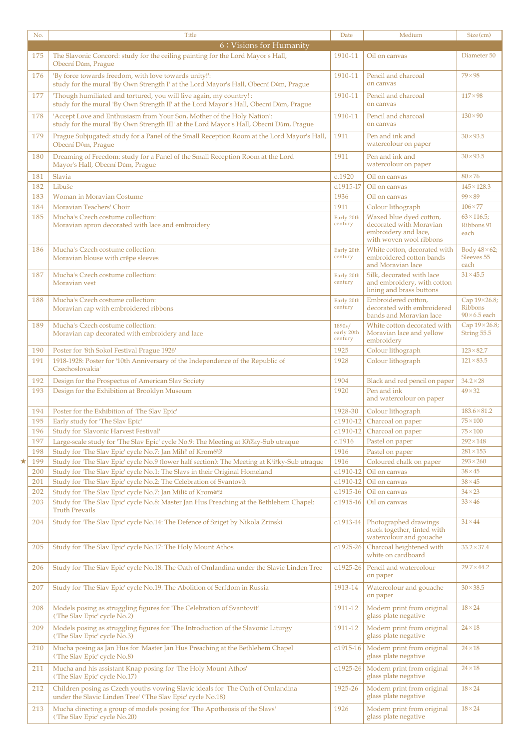| No.      | <b>Title</b>                                                                                                                                                     | Date                            | Medium                                                                                                | Size (cm)                                             |
|----------|------------------------------------------------------------------------------------------------------------------------------------------------------------------|---------------------------------|-------------------------------------------------------------------------------------------------------|-------------------------------------------------------|
|          | 6: Visions for Humanity                                                                                                                                          |                                 |                                                                                                       |                                                       |
| 175      | The Slavonic Concord: study for the ceiling painting for the Lord Mayor's Hall,<br>Obecní Dům, Prague                                                            | 1910-11                         | Oil on canvas                                                                                         | Diameter 50                                           |
| 176      | 'By force towards freedom, with love towards unity!':<br>study for the mural 'By Own Strength I' at the Lord Mayor's Hall, Obecní Dům, Prague                    | 1910-11                         | Pencil and charcoal<br>on canvas                                                                      | $79 \times 98$                                        |
| 177      | 'Though humiliated and tortured, you will live again, my country!':<br>study for the mural 'By Own Strength II' at the Lord Mayor's Hall, Obecní Dům, Prague     | 1910-11                         | Pencil and charcoal<br>on canvas                                                                      | $117\times98$                                         |
| 178      | 'Accept Love and Enthusiasm from Your Son, Mother of the Holy Nation':<br>study for the mural 'By Own Strength III' at the Lord Mayor's Hall, Obecní Dům, Prague | 1910-11                         | Pencil and charcoal<br>on canvas                                                                      | $130 \times 90$                                       |
| 179      | Prague Subjugated: study for a Panel of the Small Reception Room at the Lord Mayor's Hall,<br>Obecní Dům, Prague                                                 | 1911                            | Pen and ink and<br>watercolour on paper                                                               | $30 \times 93.5$                                      |
| 180      | Dreaming of Freedom: study for a Panel of the Small Reception Room at the Lord<br>Mayor's Hall, Obecní Dům, Prague                                               | 1911                            | Pen and ink and<br>watercolour on paper                                                               | $30 \times 93.5$                                      |
| 181      | Slavia                                                                                                                                                           | c.1920                          | Oil on canvas                                                                                         | $80\times76$                                          |
| 182      | Libuše                                                                                                                                                           | c.1915-17                       | Oil on canvas                                                                                         | $145 \times 128.3$                                    |
| 183      | Woman in Moravian Costume                                                                                                                                        | 1936                            | Oil on canvas                                                                                         | $99 \times 89$                                        |
| 184      | Moravian Teachers' Choir                                                                                                                                         | 1911                            | Colour lithograph                                                                                     | $106\times77$                                         |
| 185      | Mucha's Czech costume collection:<br>Moravian apron decorated with lace and embroidery                                                                           | Early 20th<br>century           | Waxed blue dyed cotton,<br>decorated with Moravian<br>embroidery and lace,<br>with woven wool ribbons | $63 \times 116.5$<br>Ribbons 91<br>each               |
| 186      | Mucha's Czech costume collection:<br>Moravian blouse with crêpe sleeves                                                                                          | Early 20th<br>century           | White cotton, decorated with<br>embroidered cotton bands<br>and Moravian lace                         | Body $48 \times 62$ ;<br>Sleeves 55<br>each           |
| 187      | Mucha's Czech costume collection:<br>Moravian vest                                                                                                               | Early 20th<br>century           | Silk, decorated with lace<br>and embroidery, with cotton<br>lining and brass buttons                  | $31 \times 45.5$                                      |
| 188      | Mucha's Czech costume collection:<br>Moravian cap with embroidered ribbons                                                                                       | Early 20th<br>century           | Embroidered cotton,<br>decorated with embroidered<br>bands and Moravian lace                          | Cap 19×26.8;<br><b>Ribbons</b><br>$90\times 6.5$ each |
| 189      | Mucha's Czech costume collection:<br>Moravian cap decorated with embroidery and lace                                                                             | 1890s/<br>early 20th<br>century | White cotton decorated with<br>Moravian lace and yellow<br>embroidery                                 | Cap 19×26.8;<br>String 55.5                           |
| 190      | Poster for '8th Sokol Festival Prague 1926'                                                                                                                      | 1925                            | Colour lithograph                                                                                     | $123 \times 82.7$                                     |
| 191      | 1918-1928: Poster for '10th Anniversary of the Independence of the Republic of<br>Czechoslovakia'                                                                | 1928                            | Colour lithograph                                                                                     | $121 \times 83.5$                                     |
| 192      | Design for the Prospectus of American Slav Society                                                                                                               | 1904                            | Black and red pencil on paper                                                                         | $34.2\times28$                                        |
| 193      | Design for the Exhibition at Brooklyn Museum                                                                                                                     | 1920                            | Pen and ink<br>and watercolour on paper                                                               | $49 \times 32$                                        |
| 194      | Poster for the Exhibition of 'The Slav Epic'                                                                                                                     | 1928-30                         | Colour lithograph                                                                                     | $183.6 \times 81.2$                                   |
| 195      | Early study for 'The Slav Epic'                                                                                                                                  | $c.1910 - 12$                   | Charcoal on paper                                                                                     | $75 \times 100$                                       |
| 196      | Study for 'Slavonic Harvest Festival'                                                                                                                            |                                 | c.1910-12 Charcoal on paper                                                                           | $75\times100$                                         |
| 197      | Large-scale study for 'The Slav Epic' cycle No.9: The Meeting at Křížky-Sub utraque                                                                              | c.1916                          | Pastel on paper                                                                                       | $292\times148$                                        |
| 198      | Study for 'The Slav Epic' cycle No.7: Jan Milíč of Kroměříž                                                                                                      | 1916                            | Pastel on paper                                                                                       | $281 \times 153$                                      |
| *<br>199 | Study for 'The Slav Epic' cycle No.9 (lower half section): The Meeting at Křížky-Sub utraque                                                                     | 1916                            | Coloured chalk on paper                                                                               | $293 \times 260$                                      |
| 200      | Study for 'The Slav Epic' cycle No.1: The Slavs in their Original Homeland                                                                                       | c.1910-12                       | Oil on canvas                                                                                         | $38 \times 45$                                        |
| 201      | Study for 'The Slav Epic' cycle No.2: The Celebration of Svantovít                                                                                               | $c.1910-12$                     | Oil on canvas                                                                                         | $38 \times 45$                                        |
| 202      | Study for 'The Slav Epic' cycle No.7: Jan Milíč of Kroměříž                                                                                                      | c.1915-16                       | Oil on canvas                                                                                         | $34 \times 23$                                        |
| 203      | Study for 'The Slav Epic' cycle No.8: Master Jan Hus Preaching at the Bethlehem Chapel:<br><b>Truth Prevails</b>                                                 | c.1915-16                       | Oil on canvas                                                                                         | $33 \times 46$                                        |
| 204      | Study for 'The Slav Epic' cycle No.14: The Defence of Sziget by Nikola Zrinski                                                                                   | c.1913-14                       | Photographed drawings<br>stuck together, tinted with<br>watercolour and gouache                       | $31 \times 44$                                        |
| 205      | Study for 'The Slav Epic' cycle No.17: The Holy Mount Athos                                                                                                      | $c.1925-26$                     | Charcoal heightened with<br>white on cardboard                                                        | $33.2 \times 37.4$                                    |
| 206      | Study for 'The Slav Epic' cycle No.18: The Oath of Omlandina under the Slavic Linden Tree                                                                        | c.1925-26                       | Pencil and watercolour<br>on paper                                                                    | $29.7 \times 44.2$                                    |
| 207      | Study for 'The Slav Epic' cycle No.19: The Abolition of Serfdom in Russia                                                                                        | 1913-14                         | Watercolour and gouache<br>on paper                                                                   | $30 \times 38.5$                                      |
| 208      | Models posing as struggling figures for 'The Celebration of Svantovít'<br>('The Slav Epic' cycle No.2)                                                           | 1911-12                         | Modern print from original<br>glass plate negative                                                    | $18 \times 24$                                        |
| 209      | Models posing as struggling figures for 'The Introduction of the Slavonic Liturgy'<br>('The Slav Epic' cycle No.3)                                               | 1911-12                         | Modern print from original<br>glass plate negative                                                    | $24\times18$                                          |
| 210      | Mucha posing as Jan Hus for 'Master Jan Hus Preaching at the Bethlehem Chapel'<br>('The Slav Epic' cycle No.8)                                                   | c.1915-16                       | Modern print from original<br>glass plate negative                                                    | $24\times18$                                          |
| 211      | Mucha and his assistant Knap posing for 'The Holy Mount Athos'<br>('The Slav Epic' cycle No.17)                                                                  | c.1925-26                       | Modern print from original<br>glass plate negative                                                    | $24 \times 18$                                        |
| 212      | Children posing as Czech youths vowing Slavic ideals for 'The Oath of Omlandina<br>under the Slavic Linden Tree' ('The Slav Epic' cycle No.18)                   | 1925-26                         | Modern print from original<br>glass plate negative                                                    | $18 \times 24$                                        |
| 213      | Mucha directing a group of models posing for 'The Apotheosis of the Slavs'<br>('The Slav Epic' cycle No.20)                                                      | 1926                            | Modern print from original<br>glass plate negative                                                    | $18 \times 24$                                        |